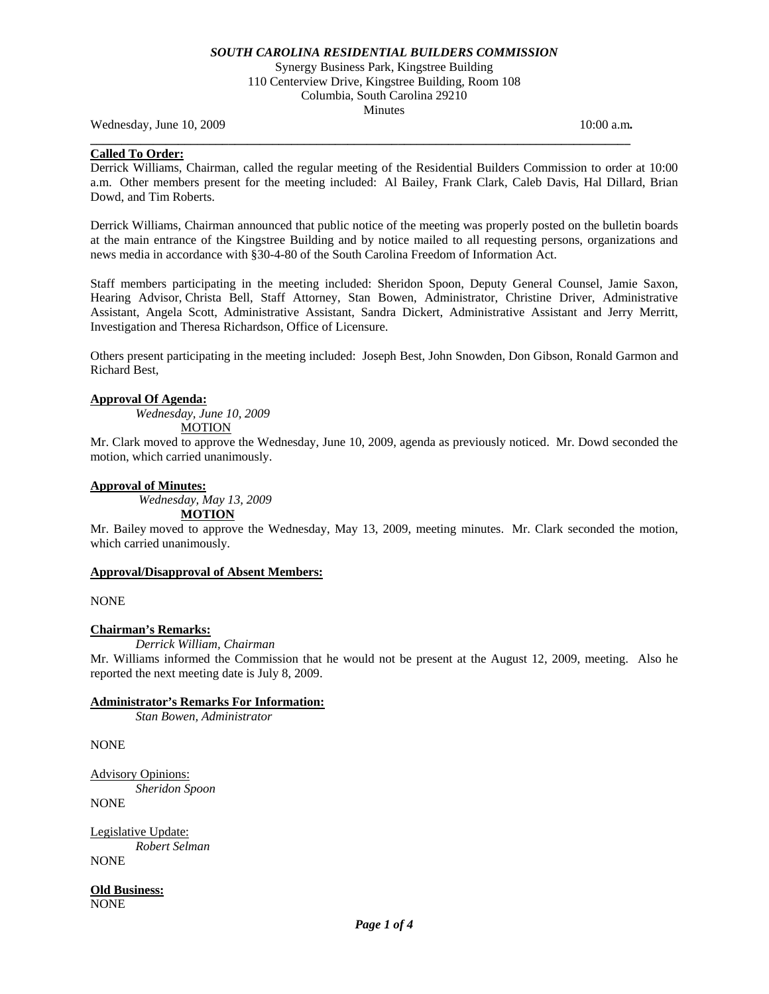Synergy Business Park, Kingstree Building 110 Centerview Drive, Kingstree Building, Room 108 Columbia, South Carolina 29210 Minutes

Wednesday, June 10, 2009 **10:00 a.m. 10:00 a.m. 10:00 a.m. 10:00 a.m.** 

## **Called To Order:**

Derrick Williams, Chairman, called the regular meeting of the Residential Builders Commission to order at 10:00 a.m. Other members present for the meeting included: Al Bailey, Frank Clark, Caleb Davis, Hal Dillard, Brian Dowd, and Tim Roberts.

**\_\_\_\_\_\_\_\_\_\_\_\_\_\_\_\_\_\_\_\_\_\_\_\_\_\_\_\_\_\_\_\_\_\_\_\_\_\_\_\_\_\_\_\_\_\_\_\_\_\_\_\_\_\_\_\_\_\_\_\_\_\_\_\_\_\_\_\_\_\_\_\_\_\_\_\_\_\_\_\_\_\_\_\_\_\_** 

Derrick Williams, Chairman announced that public notice of the meeting was properly posted on the bulletin boards at the main entrance of the Kingstree Building and by notice mailed to all requesting persons, organizations and news media in accordance with §30-4-80 of the South Carolina Freedom of Information Act.

Staff members participating in the meeting included: Sheridon Spoon, Deputy General Counsel, Jamie Saxon, Hearing Advisor, Christa Bell, Staff Attorney, Stan Bowen, Administrator, Christine Driver, Administrative Assistant, Angela Scott, Administrative Assistant, Sandra Dickert, Administrative Assistant and Jerry Merritt, Investigation and Theresa Richardson, Office of Licensure.

Others present participating in the meeting included: Joseph Best, John Snowden, Don Gibson, Ronald Garmon and Richard Best,

#### **Approval Of Agenda:**

*Wednesday, June 10, 2009* 

**MOTION** 

Mr. Clark moved to approve the Wednesday, June 10, 2009, agenda as previously noticed. Mr. Dowd seconded the motion, which carried unanimously.

#### **Approval of Minutes:**

*Wednesday, May 13, 2009* 

**MOTION**

Mr. Bailey moved to approve the Wednesday, May 13, 2009, meeting minutes. Mr. Clark seconded the motion, which carried unanimously.

#### **Approval/Disapproval of Absent Members:**

NONE

## **Chairman's Remarks:**

*Derrick William, Chairman* 

Mr. Williams informed the Commission that he would not be present at the August 12, 2009, meeting. Also he reported the next meeting date is July 8, 2009.

#### **Administrator's Remarks For Information:**

 *Stan Bowen, Administrator* 

**NONE** 

Advisory Opinions: *Sheridon Spoon*  NONE

Legislative Update:

*Robert Selman*  NONE

**Old Business:** NONE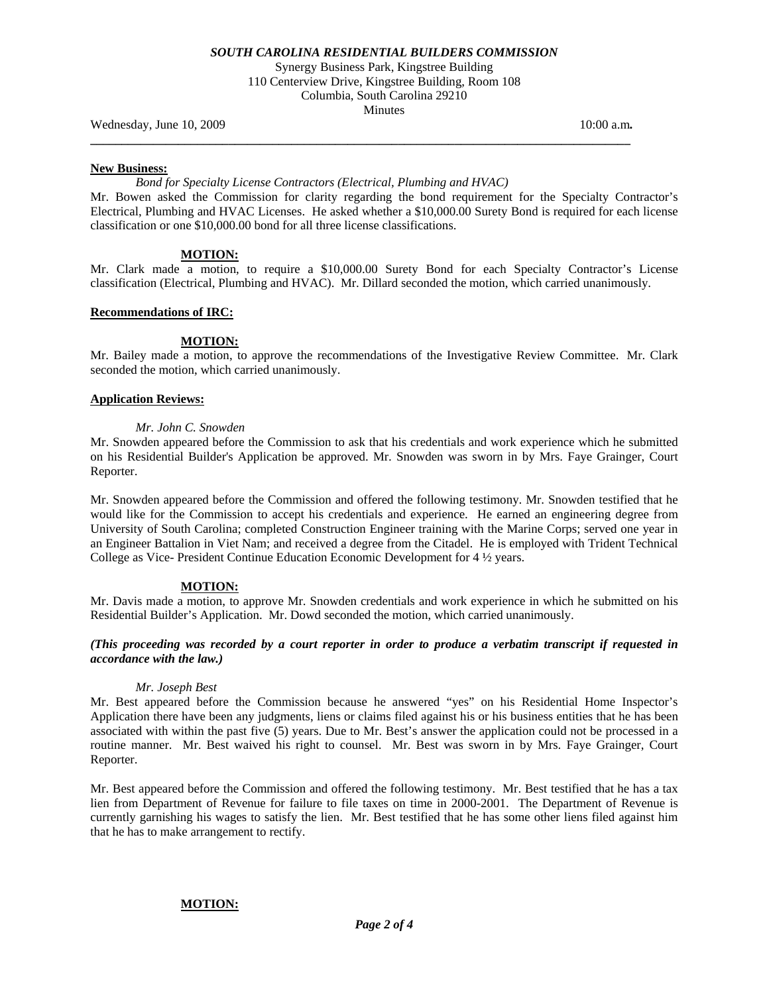Synergy Business Park, Kingstree Building 110 Centerview Drive, Kingstree Building, Room 108 Columbia, South Carolina 29210 Minutes

**\_\_\_\_\_\_\_\_\_\_\_\_\_\_\_\_\_\_\_\_\_\_\_\_\_\_\_\_\_\_\_\_\_\_\_\_\_\_\_\_\_\_\_\_\_\_\_\_\_\_\_\_\_\_\_\_\_\_\_\_\_\_\_\_\_\_\_\_\_\_\_\_\_\_\_\_\_\_\_\_\_\_\_\_\_\_** 

Wednesday, June 10, 2009 **10:00 a.m. 10:00 a.m. 10:00 a.m. 10:00 a.m.** 

#### **New Business:**

#### *Bond for Specialty License Contractors (Electrical, Plumbing and HVAC)*

Mr. Bowen asked the Commission for clarity regarding the bond requirement for the Specialty Contractor's Electrical, Plumbing and HVAC Licenses. He asked whether a \$10,000.00 Surety Bond is required for each license classification or one \$10,000.00 bond for all three license classifications.

#### **MOTION:**

Mr. Clark made a motion, to require a \$10,000.00 Surety Bond for each Specialty Contractor's License classification (Electrical, Plumbing and HVAC). Mr. Dillard seconded the motion, which carried unanimously.

#### **Recommendations of IRC:**

## **MOTION:**

Mr. Bailey made a motion, to approve the recommendations of the Investigative Review Committee. Mr. Clark seconded the motion, which carried unanimously.

#### **Application Reviews:**

#### *Mr. John C. Snowden*

Mr. Snowden appeared before the Commission to ask that his credentials and work experience which he submitted on his Residential Builder's Application be approved. Mr. Snowden was sworn in by Mrs. Faye Grainger, Court Reporter.

Mr. Snowden appeared before the Commission and offered the following testimony. Mr. Snowden testified that he would like for the Commission to accept his credentials and experience. He earned an engineering degree from University of South Carolina; completed Construction Engineer training with the Marine Corps; served one year in an Engineer Battalion in Viet Nam; and received a degree from the Citadel. He is employed with Trident Technical College as Vice- President Continue Education Economic Development for 4 ½ years.

#### **MOTION:**

Mr. Davis made a motion, to approve Mr. Snowden credentials and work experience in which he submitted on his Residential Builder's Application. Mr. Dowd seconded the motion, which carried unanimously.

## *(This proceeding was recorded by a court reporter in order to produce a verbatim transcript if requested in accordance with the law.)*

#### *Mr. Joseph Best*

Mr. Best appeared before the Commission because he answered "yes" on his Residential Home Inspector's Application there have been any judgments, liens or claims filed against his or his business entities that he has been associated with within the past five (5) years. Due to Mr. Best's answer the application could not be processed in a routine manner. Mr. Best waived his right to counsel. Mr. Best was sworn in by Mrs. Faye Grainger, Court Reporter.

Mr. Best appeared before the Commission and offered the following testimony. Mr. Best testified that he has a tax lien from Department of Revenue for failure to file taxes on time in 2000-2001. The Department of Revenue is currently garnishing his wages to satisfy the lien. Mr. Best testified that he has some other liens filed against him that he has to make arrangement to rectify.

#### **MOTION:**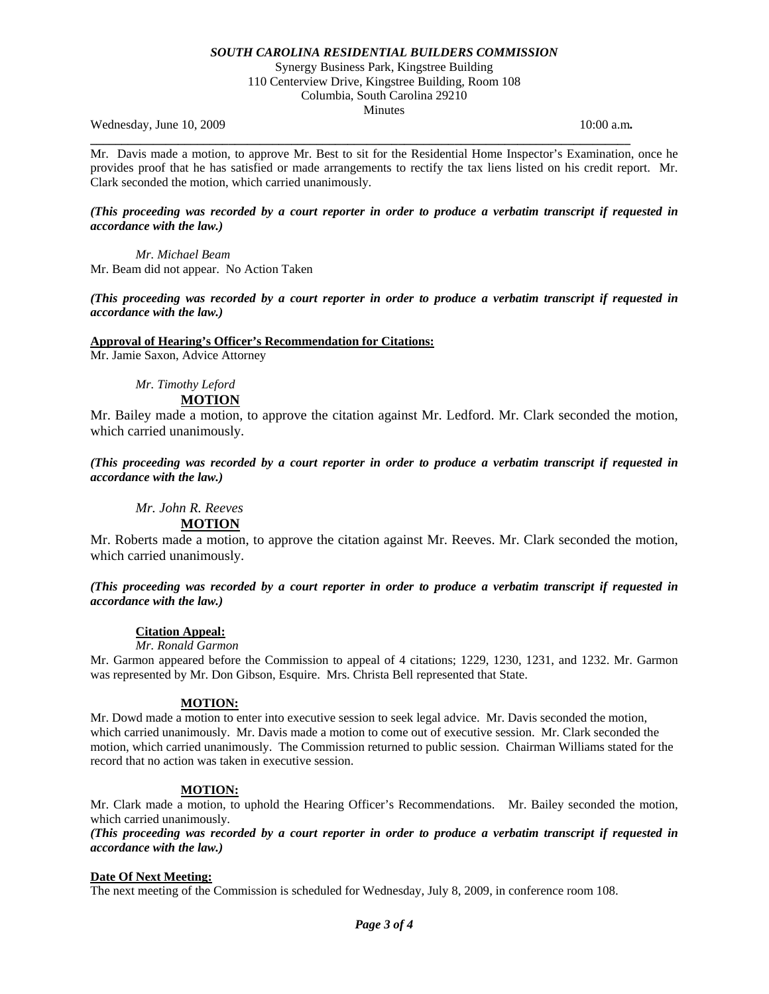Synergy Business Park, Kingstree Building 110 Centerview Drive, Kingstree Building, Room 108 Columbia, South Carolina 29210

Minutes

**\_\_\_\_\_\_\_\_\_\_\_\_\_\_\_\_\_\_\_\_\_\_\_\_\_\_\_\_\_\_\_\_\_\_\_\_\_\_\_\_\_\_\_\_\_\_\_\_\_\_\_\_\_\_\_\_\_\_\_\_\_\_\_\_\_\_\_\_\_\_\_\_\_\_\_\_\_\_\_\_\_\_\_\_\_\_** 

Wednesday, June 10, 2009 **10:00 a.m. 10:00 a.m. 10:00 a.m. 10:00 a.m.** 

Mr. Davis made a motion, to approve Mr. Best to sit for the Residential Home Inspector's Examination, once he provides proof that he has satisfied or made arrangements to rectify the tax liens listed on his credit report. Mr. Clark seconded the motion, which carried unanimously.

## *(This proceeding was recorded by a court reporter in order to produce a verbatim transcript if requested in accordance with the law.)*

*Mr. Michael Beam*  Mr. Beam did not appear. No Action Taken

## *(This proceeding was recorded by a court reporter in order to produce a verbatim transcript if requested in accordance with the law.)*

## **Approval of Hearing's Officer's Recommendation for Citations:**

Mr. Jamie Saxon, Advice Attorney

*Mr. Timothy Leford* 

# **MOTION**

Mr. Bailey made a motion, to approve the citation against Mr. Ledford. Mr. Clark seconded the motion, which carried unanimously.

## *(This proceeding was recorded by a court reporter in order to produce a verbatim transcript if requested in accordance with the law.)*

 *Mr. John R. Reeves*  **MOTION**

Mr. Roberts made a motion, to approve the citation against Mr. Reeves. Mr. Clark seconded the motion, which carried unanimously.

## *(This proceeding was recorded by a court reporter in order to produce a verbatim transcript if requested in accordance with the law.)*

## **Citation Appeal:**

## *Mr. Ronald Garmon*

Mr. Garmon appeared before the Commission to appeal of 4 citations; 1229, 1230, 1231, and 1232. Mr. Garmon was represented by Mr. Don Gibson, Esquire. Mrs. Christa Bell represented that State.

## **MOTION:**

Mr. Dowd made a motion to enter into executive session to seek legal advice. Mr. Davis seconded the motion, which carried unanimously. Mr. Davis made a motion to come out of executive session. Mr. Clark seconded the motion, which carried unanimously. The Commission returned to public session. Chairman Williams stated for the record that no action was taken in executive session.

## **MOTION:**

Mr. Clark made a motion, to uphold the Hearing Officer's Recommendations. Mr. Bailey seconded the motion, which carried unanimously.

*(This proceeding was recorded by a court reporter in order to produce a verbatim transcript if requested in accordance with the law.)* 

## **Date Of Next Meeting:**

The next meeting of the Commission is scheduled for Wednesday, July 8, 2009, in conference room 108.